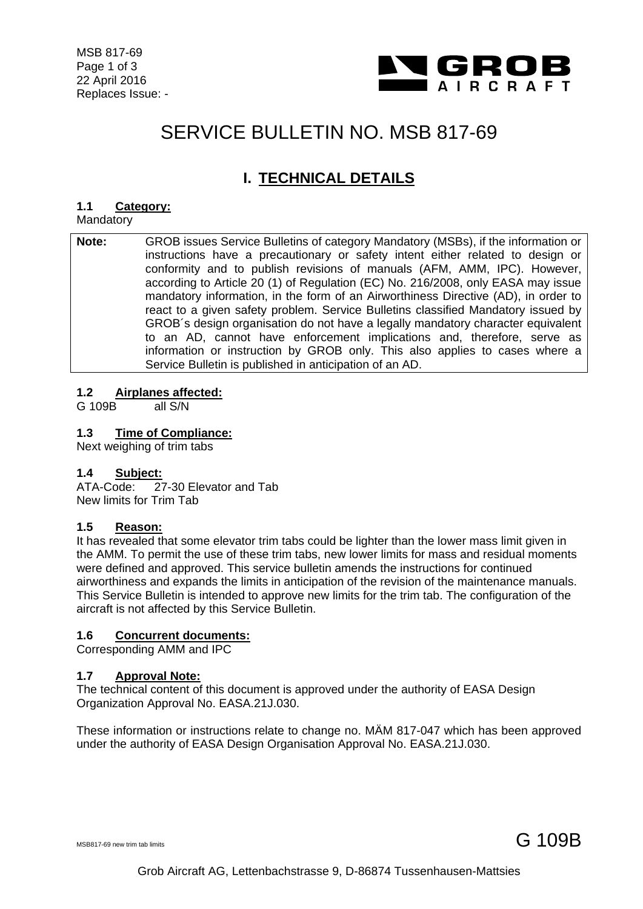

# SERVICE BULLETIN NO. MSB 817-69

# **I. TECHNICAL DETAILS**

#### **1.1 Category:**

Mandatory

**Note:** GROB issues Service Bulletins of category Mandatory (MSBs), if the information or instructions have a precautionary or safety intent either related to design or conformity and to publish revisions of manuals (AFM, AMM, IPC). However, according to Article 20 (1) of Regulation (EC) No. 216/2008, only EASA may issue mandatory information, in the form of an Airworthiness Directive (AD), in order to react to a given safety problem. Service Bulletins classified Mandatory issued by GROB´s design organisation do not have a legally mandatory character equivalent to an AD, cannot have enforcement implications and, therefore, serve as information or instruction by GROB only. This also applies to cases where a Service Bulletin is published in anticipation of an AD.

#### **1.2 Airplanes affected:**

G 109B all S/N

#### **1.3 Time of Compliance:**

Next weighing of trim tabs

#### **1.4 Subject:**

ATA-Code: 27-30 Elevator and Tab New limits for Trim Tab

#### **1.5 Reason:**

It has revealed that some elevator trim tabs could be lighter than the lower mass limit given in the AMM. To permit the use of these trim tabs, new lower limits for mass and residual moments were defined and approved. This service bulletin amends the instructions for continued airworthiness and expands the limits in anticipation of the revision of the maintenance manuals. This Service Bulletin is intended to approve new limits for the trim tab. The configuration of the aircraft is not affected by this Service Bulletin.

#### **1.6 Concurrent documents:**

Corresponding AMM and IPC

#### **1.7 Approval Note:**

The technical content of this document is approved under the authority of EASA Design Organization Approval No. EASA.21J.030.

These information or instructions relate to change no. MÄM 817-047 which has been approved under the authority of EASA Design Organisation Approval No. EASA.21J.030.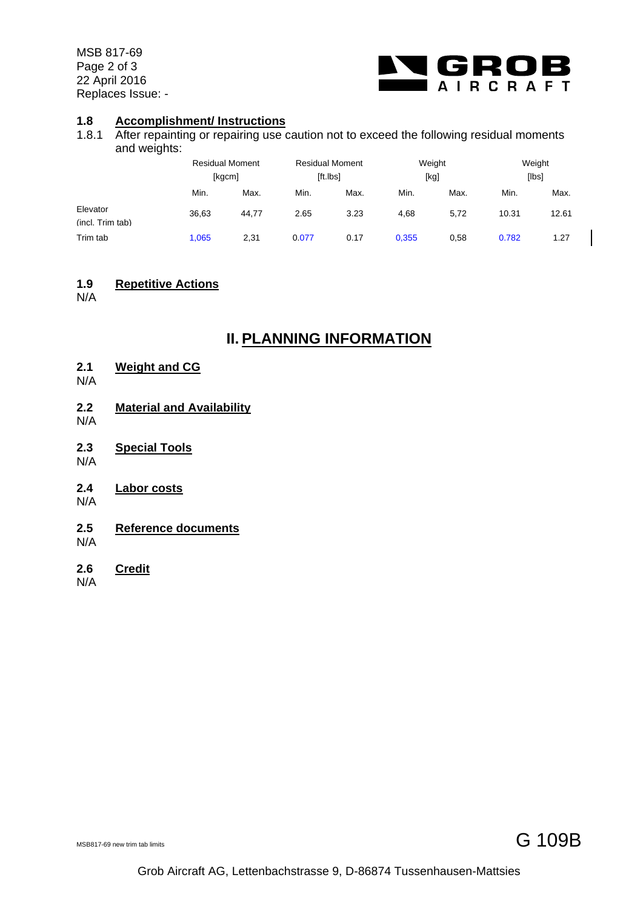MSB 817-69 Page 2 of 3 22 April 2016 Replaces Issue: -



#### **1.8 Accomplishment/ Instructions**

1.8.1 After repainting or repairing use caution not to exceed the following residual moments and weights:

|                              | <b>Residual Moment</b><br>[kgcm] |       | <b>Residual Moment</b><br>[ft.lbs] |      | Weight<br>[kg] |      | Weight<br>[lbs] |       |
|------------------------------|----------------------------------|-------|------------------------------------|------|----------------|------|-----------------|-------|
|                              | Min.                             | Max.  | Min.                               | Max. | Min.           | Max. | Min.            | Max.  |
| Elevator<br>(incl. Trim tab) | 36,63                            | 44.77 | 2.65                               | 3.23 | 4,68           | 5,72 | 10.31           | 12.61 |
| Trim tab                     | 1,065                            | 2,31  | 0.077                              | 0.17 | 0,355          | 0,58 | 0.782           | 1.27  |

#### **1.9 Repetitive Actions**

N/A

### **II. PLANNING INFORMATION**

- **2.1 Weight and CG**
- N/A
- **2.2 Material and Availability**
- N/A
- **2.3 Special Tools**
- N/A
- **2.4 Labor costs**
- N/A
- **2.5 Reference documents**
- N/A
- **2.6 Credit**
- N/A